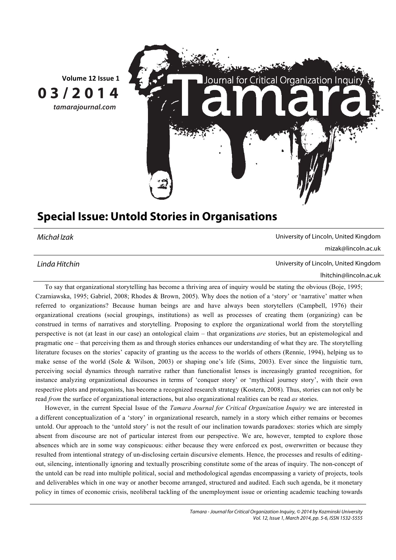

## **Special Issue: Untold Stories in Organisations**

Michał Izak University of Lincoln, United Kingdom

mizak@lincoln.ac.uk

Linda Hitchin University of Lincoln, United Kingdom

lhitchin@lincoln.ac.uk

To say that organizational storytelling has become a thriving area of inquiry would be stating the obvious (Boje, 1995; Czarniawska, 1995; Gabriel, 2008; Rhodes & Brown, 2005). Why does the notion of a 'story' or 'narrative' matter when referred to organizations? Because human beings are and have always been storytellers (Campbell, 1976) their organizational creations (social groupings, institutions) as well as processes of creating them (organizing) can be construed in terms of narratives and storytelling. Proposing to explore the organizational world from the storytelling perspective is not (at least in our case) an ontological claim – that organizations *are* stories, but an epistemological and pragmatic one – that perceiving them as and through stories enhances our understanding of what they are. The storytelling literature focuses on the stories' capacity of granting us the access to the worlds of others (Rennie, 1994), helping us to make sense of the world (Sole & Wilson, 2003) or shaping one's life (Sims, 2003). Ever since the linguistic turn, perceiving social dynamics through narrative rather than functionalist lenses is increasingly granted recognition, for instance analyzing organizational discourses in terms of 'conquer story' or 'mythical journey story', with their own respective plots and protagonists, has become a recognized research strategy (Kostera, 2008). Thus, stories can not only be read *from* the surface of organizational interactions, but also organizational realities can be read *as* stories.

However, in the current Special Issue of the *Tamara Journal for Critical Organization Inquiry* we are interested in a different conceptualization of a 'story' in organizational research, namely in a story which either remains or becomes untold. Our approach to the 'untold story' is not the result of our inclination towards paradoxes: stories which are simply absent from discourse are not of particular interest from our perspective. We are, however, tempted to explore those absences which are in some way conspicuous: either because they were enforced ex post, owerwritten or because they resulted from intentional strategy of un-disclosing certain discursive elements. Hence, the processes and results of editingout, silencing, intentionally ignoring and textually proscribing constitute some of the areas of inquiry. The non-concept of the untold can be read into multiple political, social and methodological agendas encompassing a variety of projects, tools and deliverables which in one way or another become arranged, structured and audited. Each such agenda, be it monetary policy in times of economic crisis, neoliberal tackling of the unemployment issue or orienting academic teaching towards